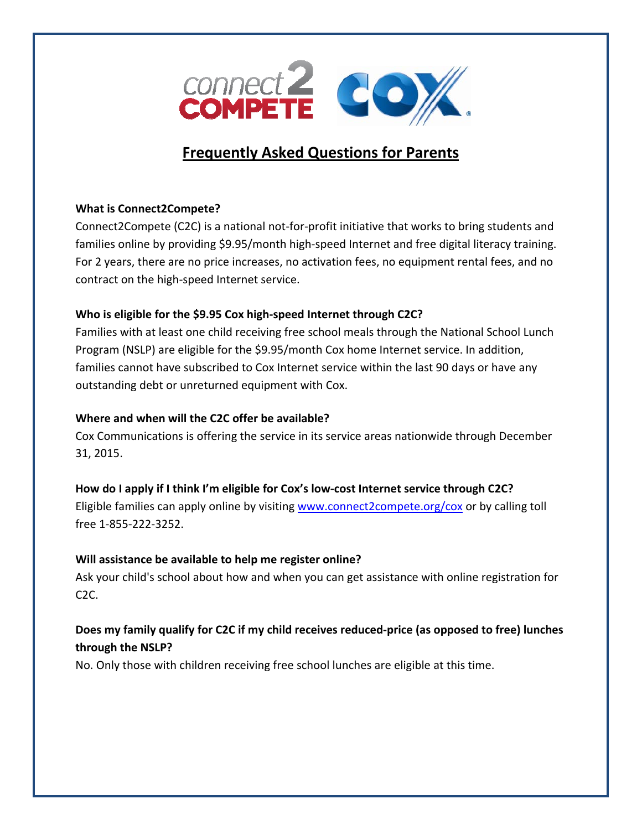

# **Frequently Asked Questions for Parents**

### **What is Connect2Compete?**

Connect2Compete (C2C) is a national not‐for‐profit initiative that works to bring students and families online by providing \$9.95/month high-speed Internet and free digital literacy training. For 2 years, there are no price increases, no activation fees, no equipment rental fees, and no contract on the high‐speed Internet service.

### **Who is eligible for the \$9.95 Cox high‐speed Internet through C2C?**

Families with at least one child receiving free school meals through the National School Lunch Program (NSLP) are eligible for the \$9.95/month Cox home Internet service. In addition, families cannot have subscribed to Cox Internet service within the last 90 days or have any outstanding debt or unreturned equipment with Cox.

### **Where and when will the C2C offer be available?**

Cox Communications is offering the service in its service areas nationwide through December 31, 2015.

### **How do I apply if I think I'm eligible for Cox's low‐cost Internet service through C2C?**

Eligible families can apply online by visiting <www.connect2compete.org/cox> or by calling toll free 1‐855‐222‐3252.

### **Will assistance be available to help me register online?**

Ask your child's school about how and when you can get assistance with online registration for C2C.

## **Does my family qualify for C2C if my child receives reduced‐price (as opposed to free) lunches through the NSLP?**

No. Only those with children receiving free school lunches are eligible at this time.